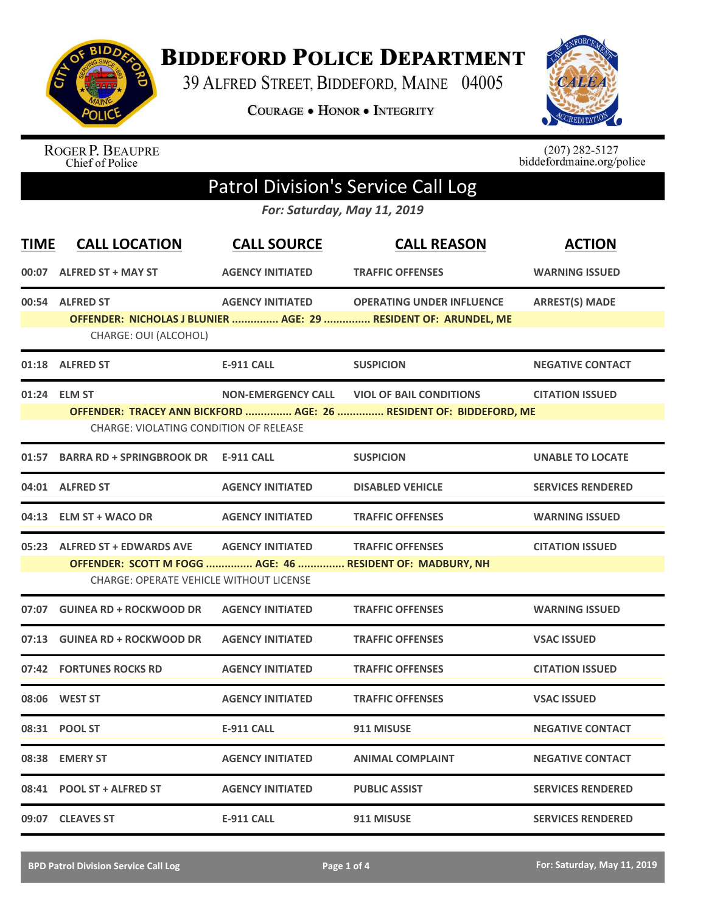

**BIDDEFORD POLICE DEPARTMENT** 

39 ALFRED STREET, BIDDEFORD, MAINE 04005

**COURAGE . HONOR . INTEGRITY** 



ROGER P. BEAUPRE<br>Chief of Police

 $(207)$  282-5127<br>biddefordmaine.org/police

## Patrol Division's Service Call Log

*For: Saturday, May 11, 2019*

| <b>TIME</b> | <b>CALL LOCATION</b>                                                            | <b>CALL SOURCE</b>        | <b>CALL REASON</b>                                                                                   | <b>ACTION</b>            |
|-------------|---------------------------------------------------------------------------------|---------------------------|------------------------------------------------------------------------------------------------------|--------------------------|
|             | 00:07 ALFRED ST + MAY ST                                                        | <b>AGENCY INITIATED</b>   | <b>TRAFFIC OFFENSES</b>                                                                              | <b>WARNING ISSUED</b>    |
|             | 00:54 ALFRED ST<br>CHARGE: OUI (ALCOHOL)                                        | <b>AGENCY INITIATED</b>   | <b>OPERATING UNDER INFLUENCE</b><br>OFFENDER: NICHOLAS J BLUNIER  AGE: 29  RESIDENT OF: ARUNDEL, ME  | <b>ARREST(S) MADE</b>    |
|             | 01:18 ALFRED ST                                                                 | <b>E-911 CALL</b>         | <b>SUSPICION</b>                                                                                     | <b>NEGATIVE CONTACT</b>  |
|             | 01:24 ELM ST<br><b>CHARGE: VIOLATING CONDITION OF RELEASE</b>                   | <b>NON-EMERGENCY CALL</b> | <b>VIOL OF BAIL CONDITIONS</b><br>OFFENDER: TRACEY ANN BICKFORD  AGE: 26  RESIDENT OF: BIDDEFORD, ME | <b>CITATION ISSUED</b>   |
| 01:57       | BARRA RD + SPRINGBROOK DR E-911 CALL                                            |                           | <b>SUSPICION</b>                                                                                     | <b>UNABLE TO LOCATE</b>  |
|             | 04:01 ALFRED ST                                                                 | <b>AGENCY INITIATED</b>   | <b>DISABLED VEHICLE</b>                                                                              | <b>SERVICES RENDERED</b> |
| 04:13       | <b>ELM ST + WACO DR</b>                                                         | <b>AGENCY INITIATED</b>   | <b>TRAFFIC OFFENSES</b>                                                                              | <b>WARNING ISSUED</b>    |
|             | 05:23 ALFRED ST + EDWARDS AVE<br><b>CHARGE: OPERATE VEHICLE WITHOUT LICENSE</b> | <b>AGENCY INITIATED</b>   | <b>TRAFFIC OFFENSES</b><br>OFFENDER: SCOTT M FOGG  AGE: 46  RESIDENT OF: MADBURY, NH                 | <b>CITATION ISSUED</b>   |
| 07:07       | <b>GUINEA RD + ROCKWOOD DR</b>                                                  | <b>AGENCY INITIATED</b>   | <b>TRAFFIC OFFENSES</b>                                                                              | <b>WARNING ISSUED</b>    |
|             | 07:13 GUINEA RD + ROCKWOOD DR                                                   | <b>AGENCY INITIATED</b>   | <b>TRAFFIC OFFENSES</b>                                                                              | <b>VSAC ISSUED</b>       |
|             | 07:42 FORTUNES ROCKS RD                                                         | <b>AGENCY INITIATED</b>   | <b>TRAFFIC OFFENSES</b>                                                                              | <b>CITATION ISSUED</b>   |
| 08:06       | <b>WEST ST</b>                                                                  | <b>AGENCY INITIATED</b>   | <b>TRAFFIC OFFENSES</b>                                                                              | <b>VSAC ISSUED</b>       |
|             | 08:31 POOL ST                                                                   | <b>E-911 CALL</b>         | 911 MISUSE                                                                                           | <b>NEGATIVE CONTACT</b>  |
| 08:38       | <b>EMERY ST</b>                                                                 | <b>AGENCY INITIATED</b>   | <b>ANIMAL COMPLAINT</b>                                                                              | <b>NEGATIVE CONTACT</b>  |
|             | 08:41 POOL ST + ALFRED ST                                                       | <b>AGENCY INITIATED</b>   | <b>PUBLIC ASSIST</b>                                                                                 | <b>SERVICES RENDERED</b> |
|             | 09:07 CLEAVES ST                                                                | <b>E-911 CALL</b>         | 911 MISUSE                                                                                           | <b>SERVICES RENDERED</b> |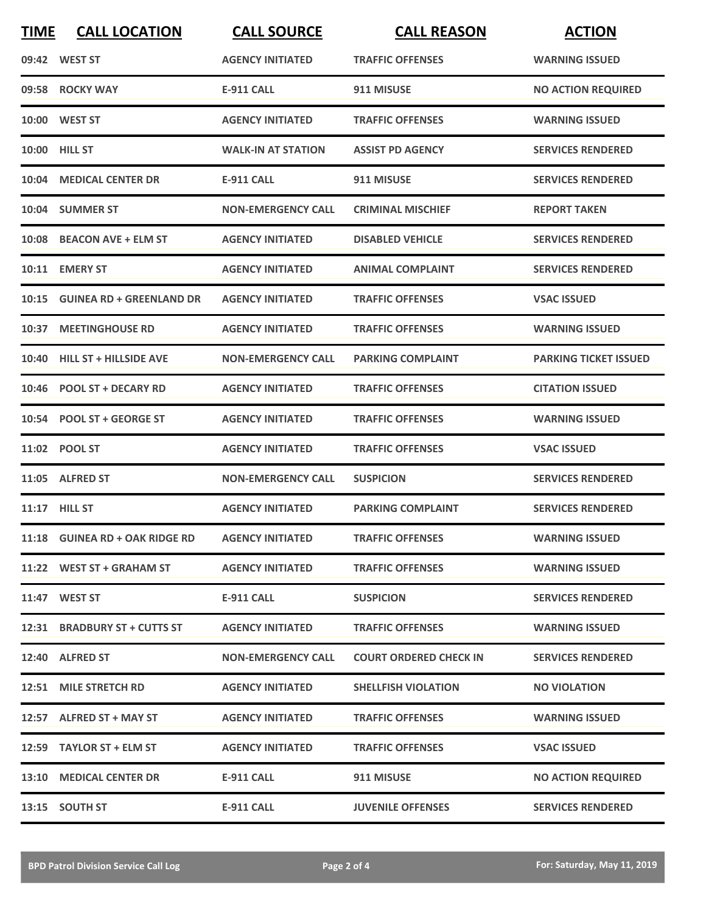| <b>TIME</b> | <b>CALL LOCATION</b>                            | <b>CALL SOURCE</b>        | <b>CALL REASON</b>            | <b>ACTION</b>                |
|-------------|-------------------------------------------------|---------------------------|-------------------------------|------------------------------|
|             | 09:42 WEST ST                                   | <b>AGENCY INITIATED</b>   | <b>TRAFFIC OFFENSES</b>       | <b>WARNING ISSUED</b>        |
|             | 09:58 ROCKY WAY                                 | <b>E-911 CALL</b>         | 911 MISUSE                    | <b>NO ACTION REQUIRED</b>    |
|             | 10:00 WEST ST                                   | <b>AGENCY INITIATED</b>   | <b>TRAFFIC OFFENSES</b>       | <b>WARNING ISSUED</b>        |
|             | 10:00 HILL ST                                   | <b>WALK-IN AT STATION</b> | <b>ASSIST PD AGENCY</b>       | <b>SERVICES RENDERED</b>     |
|             | 10:04 MEDICAL CENTER DR                         | E-911 CALL                | 911 MISUSE                    | <b>SERVICES RENDERED</b>     |
|             | 10:04 SUMMER ST                                 | <b>NON-EMERGENCY CALL</b> | <b>CRIMINAL MISCHIEF</b>      | <b>REPORT TAKEN</b>          |
| 10:08       | <b>BEACON AVE + ELM ST</b>                      | <b>AGENCY INITIATED</b>   | <b>DISABLED VEHICLE</b>       | <b>SERVICES RENDERED</b>     |
|             | 10:11 EMERY ST                                  | <b>AGENCY INITIATED</b>   | <b>ANIMAL COMPLAINT</b>       | <b>SERVICES RENDERED</b>     |
| 10:15       | <b>GUINEA RD + GREENLAND DR</b>                 | <b>AGENCY INITIATED</b>   | <b>TRAFFIC OFFENSES</b>       | <b>VSAC ISSUED</b>           |
|             | 10:37 MEETINGHOUSE RD                           | <b>AGENCY INITIATED</b>   | <b>TRAFFIC OFFENSES</b>       | <b>WARNING ISSUED</b>        |
|             | 10:40 HILL ST + HILLSIDE AVE                    | <b>NON-EMERGENCY CALL</b> | <b>PARKING COMPLAINT</b>      | <b>PARKING TICKET ISSUED</b> |
| 10:46       | <b>POOL ST + DECARY RD</b>                      | <b>AGENCY INITIATED</b>   | <b>TRAFFIC OFFENSES</b>       | <b>CITATION ISSUED</b>       |
| 10:54       | <b>POOL ST + GEORGE ST</b>                      | <b>AGENCY INITIATED</b>   | <b>TRAFFIC OFFENSES</b>       | <b>WARNING ISSUED</b>        |
|             | 11:02 POOL ST                                   | <b>AGENCY INITIATED</b>   | <b>TRAFFIC OFFENSES</b>       | <b>VSAC ISSUED</b>           |
|             | 11:05 ALFRED ST                                 | <b>NON-EMERGENCY CALL</b> | <b>SUSPICION</b>              | <b>SERVICES RENDERED</b>     |
|             | <b>11:17 HILL ST</b>                            | <b>AGENCY INITIATED</b>   | <b>PARKING COMPLAINT</b>      | <b>SERVICES RENDERED</b>     |
|             | 11:18 GUINEA RD + OAK RIDGE RD AGENCY INITIATED |                           | <b>TRAFFIC OFFENSES</b>       | <b>WARNING ISSUED</b>        |
|             | 11:22 WEST ST + GRAHAM ST                       | <b>AGENCY INITIATED</b>   | <b>TRAFFIC OFFENSES</b>       | <b>WARNING ISSUED</b>        |
|             | 11:47 WEST ST                                   | E-911 CALL                | <b>SUSPICION</b>              | <b>SERVICES RENDERED</b>     |
|             | 12:31 BRADBURY ST + CUTTS ST                    | <b>AGENCY INITIATED</b>   | <b>TRAFFIC OFFENSES</b>       | <b>WARNING ISSUED</b>        |
|             | 12:40 ALFRED ST                                 | <b>NON-EMERGENCY CALL</b> | <b>COURT ORDERED CHECK IN</b> | <b>SERVICES RENDERED</b>     |
|             | 12:51 MILE STRETCH RD                           | <b>AGENCY INITIATED</b>   | <b>SHELLFISH VIOLATION</b>    | <b>NO VIOLATION</b>          |
|             | 12:57 ALFRED ST + MAY ST                        | <b>AGENCY INITIATED</b>   | <b>TRAFFIC OFFENSES</b>       | <b>WARNING ISSUED</b>        |
|             | 12:59 TAYLOR ST + ELM ST                        | <b>AGENCY INITIATED</b>   | <b>TRAFFIC OFFENSES</b>       | <b>VSAC ISSUED</b>           |
|             | 13:10 MEDICAL CENTER DR                         | E-911 CALL                | 911 MISUSE                    | <b>NO ACTION REQUIRED</b>    |
|             | 13:15 SOUTH ST                                  | E-911 CALL                | <b>JUVENILE OFFENSES</b>      | <b>SERVICES RENDERED</b>     |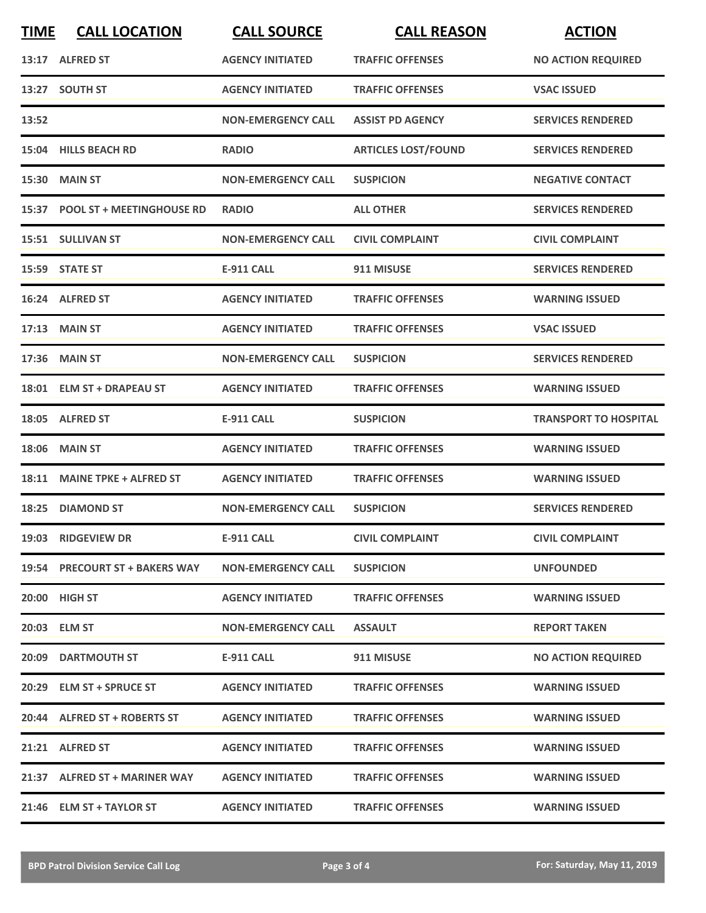| <b>TIME</b> | <b>CALL LOCATION</b>            | <b>CALL SOURCE</b>        | <b>CALL REASON</b>         | <b>ACTION</b>                |
|-------------|---------------------------------|---------------------------|----------------------------|------------------------------|
|             | 13:17 ALFRED ST                 | <b>AGENCY INITIATED</b>   | <b>TRAFFIC OFFENSES</b>    | <b>NO ACTION REQUIRED</b>    |
|             | 13:27 SOUTH ST                  | <b>AGENCY INITIATED</b>   | <b>TRAFFIC OFFENSES</b>    | <b>VSAC ISSUED</b>           |
| 13:52       |                                 | <b>NON-EMERGENCY CALL</b> | <b>ASSIST PD AGENCY</b>    | <b>SERVICES RENDERED</b>     |
|             | 15:04 HILLS BEACH RD            | <b>RADIO</b>              | <b>ARTICLES LOST/FOUND</b> | <b>SERVICES RENDERED</b>     |
|             | 15:30 MAIN ST                   | <b>NON-EMERGENCY CALL</b> | <b>SUSPICION</b>           | <b>NEGATIVE CONTACT</b>      |
|             | 15:37 POOL ST + MEETINGHOUSE RD | <b>RADIO</b>              | <b>ALL OTHER</b>           | <b>SERVICES RENDERED</b>     |
|             | 15:51 SULLIVAN ST               | <b>NON-EMERGENCY CALL</b> | <b>CIVIL COMPLAINT</b>     | <b>CIVIL COMPLAINT</b>       |
|             | 15:59 STATE ST                  | <b>E-911 CALL</b>         | 911 MISUSE                 | <b>SERVICES RENDERED</b>     |
|             | 16:24 ALFRED ST                 | <b>AGENCY INITIATED</b>   | <b>TRAFFIC OFFENSES</b>    | <b>WARNING ISSUED</b>        |
|             | 17:13 MAIN ST                   | <b>AGENCY INITIATED</b>   | <b>TRAFFIC OFFENSES</b>    | <b>VSAC ISSUED</b>           |
|             | 17:36 MAIN ST                   | <b>NON-EMERGENCY CALL</b> | <b>SUSPICION</b>           | <b>SERVICES RENDERED</b>     |
|             | 18:01 ELM ST + DRAPEAU ST       | <b>AGENCY INITIATED</b>   | <b>TRAFFIC OFFENSES</b>    | <b>WARNING ISSUED</b>        |
|             | 18:05 ALFRED ST                 | <b>E-911 CALL</b>         | <b>SUSPICION</b>           | <b>TRANSPORT TO HOSPITAL</b> |
| 18:06       | <b>MAIN ST</b>                  | <b>AGENCY INITIATED</b>   | <b>TRAFFIC OFFENSES</b>    | <b>WARNING ISSUED</b>        |
| 18:11       | <b>MAINE TPKE + ALFRED ST</b>   | <b>AGENCY INITIATED</b>   | <b>TRAFFIC OFFENSES</b>    | <b>WARNING ISSUED</b>        |
|             | 18:25 DIAMOND ST                | <b>NON-EMERGENCY CALL</b> | <b>SUSPICION</b>           | <b>SERVICES RENDERED</b>     |
|             | 19:03 RIDGEVIEW DR              | <b>E-911 CALL</b>         | <b>CIVIL COMPLAINT</b>     | <b>CIVIL COMPLAINT</b>       |
|             | 19:54 PRECOURT ST + BAKERS WAY  | <b>NON-EMERGENCY CALL</b> | <b>SUSPICION</b>           | <b>UNFOUNDED</b>             |
|             | 20:00 HIGH ST                   | <b>AGENCY INITIATED</b>   | <b>TRAFFIC OFFENSES</b>    | <b>WARNING ISSUED</b>        |
|             | 20:03 ELM ST                    | <b>NON-EMERGENCY CALL</b> | <b>ASSAULT</b>             | <b>REPORT TAKEN</b>          |
|             | <b>20:09 DARTMOUTH ST</b>       | E-911 CALL                | 911 MISUSE                 | <b>NO ACTION REQUIRED</b>    |
|             | 20:29 ELM ST + SPRUCE ST        | <b>AGENCY INITIATED</b>   | <b>TRAFFIC OFFENSES</b>    | <b>WARNING ISSUED</b>        |
|             | 20:44 ALFRED ST + ROBERTS ST    | <b>AGENCY INITIATED</b>   | <b>TRAFFIC OFFENSES</b>    | <b>WARNING ISSUED</b>        |
|             | 21:21 ALFRED ST                 | <b>AGENCY INITIATED</b>   | <b>TRAFFIC OFFENSES</b>    | <b>WARNING ISSUED</b>        |
|             | 21:37 ALFRED ST + MARINER WAY   | <b>AGENCY INITIATED</b>   | <b>TRAFFIC OFFENSES</b>    | <b>WARNING ISSUED</b>        |
|             | 21:46 ELM ST + TAYLOR ST        | <b>AGENCY INITIATED</b>   | <b>TRAFFIC OFFENSES</b>    | <b>WARNING ISSUED</b>        |